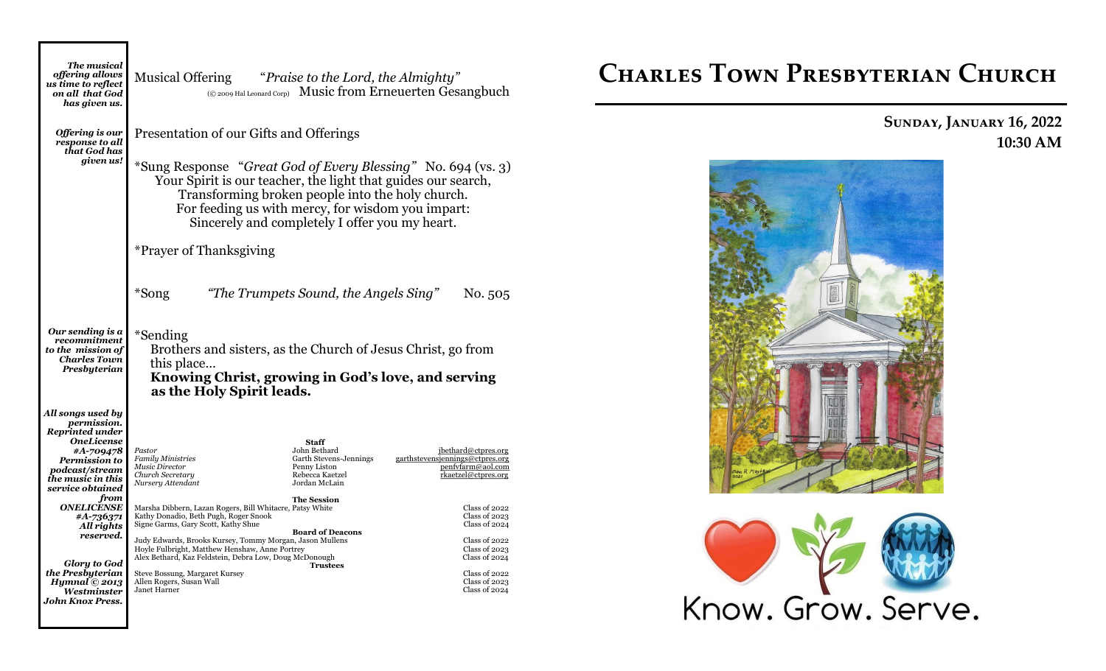| The musical<br>offering allows<br>us time to reflect<br>on all that God<br>has given us.                                                                                                                                                                                                                                                                              | <b>Musical Offering</b><br>"Praise to the Lord, the Almighty"<br>(© 2009 Hal Leonard Corp) Music from Erneuerten Gesangbuch                                                                                                                                                                                                                                                                                                                                                                     |                                                                                                                                                                                                                                                                                                                                                                                                                                               |  |  |  |
|-----------------------------------------------------------------------------------------------------------------------------------------------------------------------------------------------------------------------------------------------------------------------------------------------------------------------------------------------------------------------|-------------------------------------------------------------------------------------------------------------------------------------------------------------------------------------------------------------------------------------------------------------------------------------------------------------------------------------------------------------------------------------------------------------------------------------------------------------------------------------------------|-----------------------------------------------------------------------------------------------------------------------------------------------------------------------------------------------------------------------------------------------------------------------------------------------------------------------------------------------------------------------------------------------------------------------------------------------|--|--|--|
| Offering is our<br>response to all<br>that God has<br><i>given us!</i>                                                                                                                                                                                                                                                                                                | Presentation of our Gifts and Offerings<br>*Sung Response "Great God of Every Blessing" No. 694 (vs. 3)<br>Your Spirit is our teacher, the light that guides our search,<br>Transforming broken people into the holy church.<br>For feeding us with mercy, for wisdom you impart:<br>Sincerely and completely I offer you my heart.<br><i>*Prayer of Thanksgiving</i>                                                                                                                           |                                                                                                                                                                                                                                                                                                                                                                                                                                               |  |  |  |
| Our sending is a<br>recommitment<br>to the mission of<br><b>Charles Town</b><br>Presbyterian                                                                                                                                                                                                                                                                          | *Song<br>"The Trumpets Sound, the Angels Sing"<br>No. 505<br>*Sending<br>Brothers and sisters, as the Church of Jesus Christ, go from<br>this place<br>Knowing Christ, growing in God's love, and serving<br>as the Holy Spirit leads.                                                                                                                                                                                                                                                          |                                                                                                                                                                                                                                                                                                                                                                                                                                               |  |  |  |
| All songs used by<br>permission.<br><b>Reprinted under</b><br><b>OneLicense</b><br>#A-709478<br><b>Permission to</b><br><i>podcast/stream</i><br>the music in this<br>service obtained<br>from<br><b>ONELICENSE</b><br>#A-736371<br>All rights<br>reserved.<br><b>Glory to God</b><br>the Presbyterian<br>$Hymnal$ $@$ 2013<br>Westminster<br><b>John Knox Press.</b> | Pastor<br><b>Family Ministries</b><br>Music Director<br>Church Secretary<br>Nursery Attendant<br>Marsha Dibbern, Lazan Rogers, Bill Whitacre, Patsy White<br>Kathy Donadio, Beth Pugh, Roger Snook<br>Signe Garms, Gary Scott, Kathy Shue<br>Judy Edwards, Brooks Kursey, Tommy Morgan, Jason Mullens<br>Hoyle Fulbright, Matthew Henshaw, Anne Portrey<br>Alex Bethard, Kaz Feldstein, Debra Low, Doug McDonough<br>Steve Bossung, Margaret Kursey<br>Allen Rogers, Susan Wall<br>Janet Harner | <b>Staff</b><br>John Bethard<br>jbethard@ctpres.org<br>Garth Stevens-Jennings<br>garthstevensjennings@ctpres.org<br>Penny Liston<br>penfyfarm@aol.com<br>Rebecca Kaetzel<br>rkaetzel@ctpres.org<br>Jordan McLain<br><b>The Session</b><br>Class of 2022<br>Class of 2023<br>Class of 2024<br><b>Board of Deacons</b><br>Class of 2022<br>Class of 2023<br>Class of 2024<br><b>Trustees</b><br>Class of 2022<br>Class of 2023<br>Class of 2024 |  |  |  |

# **Charles Town Presbyterian Church**

# **Sunday, January 16, 2022 10:30 AM**



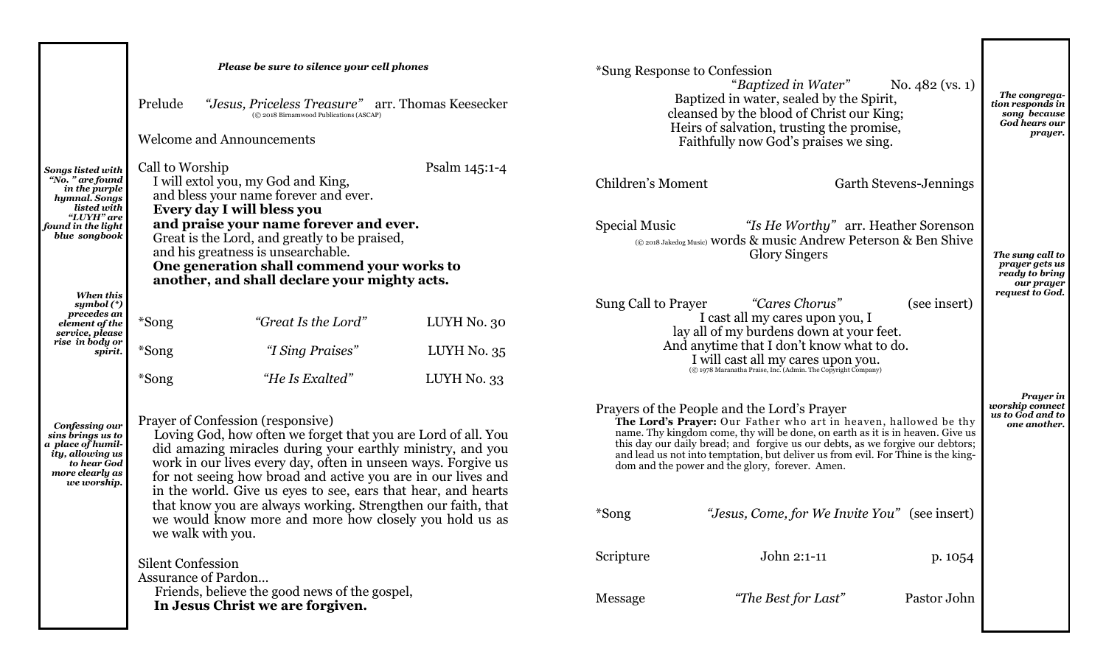|                                                                                                                                                    | Please be sure to silence your cell phones<br>Prelude<br><i>"Jesus, Priceless Treasure"</i> arr. Thomas Keesecker<br>(C) 2018 Birnamwood Publications (ASCAP)<br><b>Welcome and Announcements</b>                                                                                                                                                                                                                                                                                                                 |                                                                                                                                                                                                                                                                                                                                          |                                           | *Sung Response to Confession<br>"Baptized in Water"<br>No. $482$ (vs. 1)<br>Baptized in water, sealed by the Spirit,<br>cleansed by the blood of Christ our King;<br>Heirs of salvation, trusting the promise,<br>Faithfully now God's praises we sing.                                                                                                                                                                                                                             |                                                                                                                                                                                                                                                   |                               |                                                                    |
|----------------------------------------------------------------------------------------------------------------------------------------------------|-------------------------------------------------------------------------------------------------------------------------------------------------------------------------------------------------------------------------------------------------------------------------------------------------------------------------------------------------------------------------------------------------------------------------------------------------------------------------------------------------------------------|------------------------------------------------------------------------------------------------------------------------------------------------------------------------------------------------------------------------------------------------------------------------------------------------------------------------------------------|-------------------------------------------|-------------------------------------------------------------------------------------------------------------------------------------------------------------------------------------------------------------------------------------------------------------------------------------------------------------------------------------------------------------------------------------------------------------------------------------------------------------------------------------|---------------------------------------------------------------------------------------------------------------------------------------------------------------------------------------------------------------------------------------------------|-------------------------------|--------------------------------------------------------------------|
| <b>Songs listed with</b><br>"No. " are found<br>in the purple<br>hymnal. Songs<br>listed with<br>"LUYH" are<br>found in the light<br>blue songbook | Call to Worship                                                                                                                                                                                                                                                                                                                                                                                                                                                                                                   | I will extol you, my God and King,<br>and bless your name forever and ever.<br>Every day I will bless you<br>and praise your name forever and ever.<br>Great is the Lord, and greatly to be praised,<br>and his greatness is unsearchable.<br>One generation shall commend your works to<br>another, and shall declare your mighty acts. | Psalm 145:1-4                             | Children's Moment<br><b>Special Music</b>                                                                                                                                                                                                                                                                                                                                                                                                                                           | "Is He Worthy" arr. Heather Sorenson<br>(© 2018 Jakedog Music) WOrds & music Andrew Peterson & Ben Shive<br><b>Glory Singers</b>                                                                                                                  | <b>Garth Stevens-Jennings</b> | The sung call to<br>prayer gets us<br>ready to bring<br>our prayer |
| When this<br>symbol $(*)$<br>precedes an<br>element of the<br>service, please<br>rise in body or<br>spirit.                                        | *Song<br>*Song<br>*Song                                                                                                                                                                                                                                                                                                                                                                                                                                                                                           | "Great Is the Lord"<br>"I Sing Praises"<br>"He Is Exalted"                                                                                                                                                                                                                                                                               | LUYH No. 30<br>LUYH No. 35<br>LUYH No. 33 | Sung Call to Prayer                                                                                                                                                                                                                                                                                                                                                                                                                                                                 | "Cares Chorus"<br>I cast all my cares upon you, I<br>lay all of my burdens down at your feet.<br>And anytime that I don't know what to do.<br>I will cast all my cares upon you.<br>(© 1978 Maranatha Praise, Inc. (Admin. The Copyright Company) | (see insert)                  | request to God.                                                    |
| Confessing our<br>sins brings us to<br>a place of humil-<br>ity, allowing us<br>to hear God<br>more clearly as<br>we worship.                      | Prayer of Confession (responsive)<br>Loving God, how often we forget that you are Lord of all. You<br>did amazing miracles during your earthly ministry, and you<br>work in our lives every day, often in unseen ways. Forgive us<br>for not seeing how broad and active you are in our lives and<br>in the world. Give us eyes to see, ears that hear, and hearts<br>that know you are always working. Strengthen our faith, that<br>we would know more and more how closely you hold us as<br>we walk with you. |                                                                                                                                                                                                                                                                                                                                          | *Song                                     | Prayers of the People and the Lord's Prayer<br>The Lord's Prayer: Our Father who art in heaven, hallowed be thy<br>name. Thy kingdom come, thy will be done, on earth as it is in heaven. Give us<br>this day our daily bread; and forgive us our debts, as we forgive our debtors;<br>and lead us not into temptation, but deliver us from evil. For Thine is the king-<br>dom and the power and the glory, forever. Amen.<br><i>"Jesus, Come, for We Invite You"</i> (see insert) |                                                                                                                                                                                                                                                   |                               |                                                                    |
|                                                                                                                                                    | <b>Silent Confession</b><br>Assurance of Pardon                                                                                                                                                                                                                                                                                                                                                                                                                                                                   | Friends, believe the good news of the gospel,<br>In Jesus Christ we are forgiven.                                                                                                                                                                                                                                                        |                                           | Scripture<br>Message                                                                                                                                                                                                                                                                                                                                                                                                                                                                | John 2:1-11<br>"The Best for Last"                                                                                                                                                                                                                | p. 1054<br>Pastor John        |                                                                    |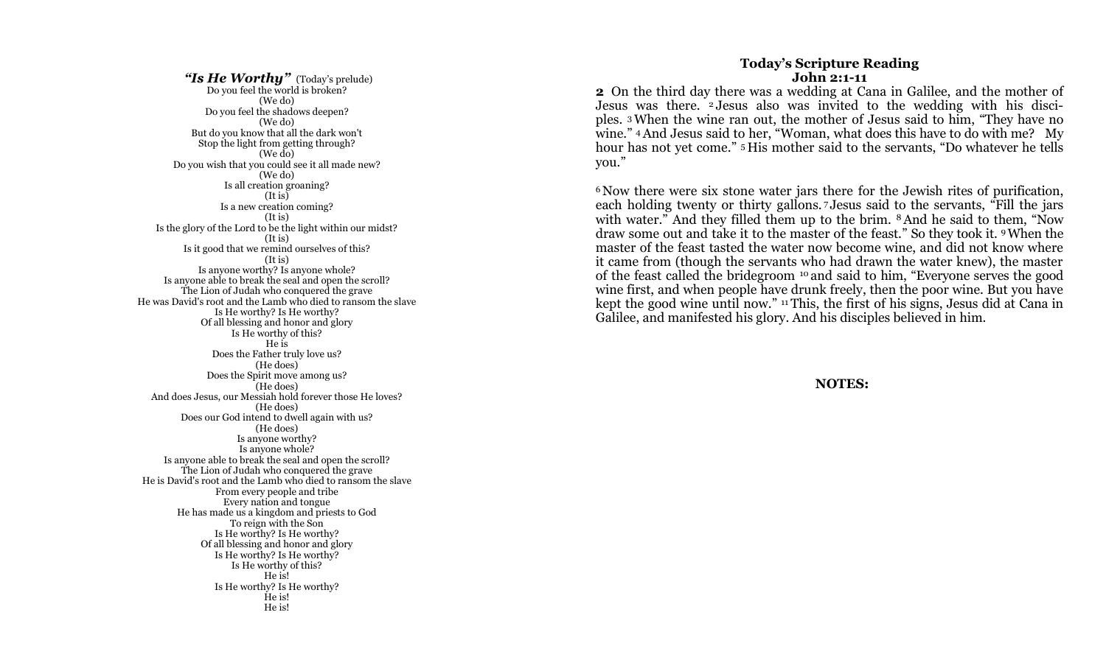*"Is He Worthy"* (Today's prelude) Do you feel the world is broken? (We do) Do you feel the shadows deepen? (We do) But do you know that all the dark won't Stop the light from getting through? (We do) Do you wish that you could see it all made new? (We do) Is all creation groaning?  $(It is)$ Is a new creation coming? (It is) Is the glory of the Lord to be the light within our midst? (It is) Is it good that we remind ourselves of this? (It is) Is anyone worthy? Is anyone whole? Is anyone able to break the seal and open the scroll? The Lion of Judah who conquered the grave He was David's root and the Lamb who died to ransom the slave Is He worthy? Is He worthy? Of all blessing and honor and glory Is He worthy of this? He is Does the Father truly love us? (He does) Does the Spirit move among us? (He does) And does Jesus, our Messiah hold forever those He loves? (He does) Does our God intend to dwell again with us? (He does) Is anyone worthy? Is anyone whole? Is anyone able to break the seal and open the scroll? The Lion of Judah who conquered the grave He is David's root and the Lamb who died to ransom the slave From every people and tribe Every nation and tongue He has made us a kingdom and priests to God To reign with the Son Is He worthy? Is He worthy? Of all blessing and honor and glory Is He worthy? Is He worthy? Is He worthy of this? He is! Is He worthy? Is He worthy? He is! He is!

### **Today's Scripture Reading John 2:1-11**

**2** On the third day there was a wedding at Cana in Galilee, and the mother of Jesus was there. <sup>2</sup> Jesus also was invited to the wedding with his disciples. <sup>3</sup>When the wine ran out, the mother of Jesus said to him, "They have no wine." <sup>4</sup>And Jesus said to her, "Woman, what does this have to do with me? My hour has not yet come." <sup>5</sup> His mother said to the servants, "Do whatever he tells you."

 $6$ Now there were six stone water jars there for the Jewish rites of purification, each holding twenty or thirty gallons. <sup>7</sup> Jesus said to the servants, "Fill the jars with water." And they filled them up to the brim. <sup>8</sup>And he said to them, "Now draw some out and take it to the master of the feast." So they took it. <sup>9</sup>When the master of the feast tasted the water now become wine, and did not know where it came from (though the servants who had drawn the water knew), the master of the feast called the bridegroom <sup>10</sup> and said to him, "Everyone serves the good wine first, and when people have drunk freely, then the poor wine. But you have kept the good wine until now." <sup>11</sup> This, the first of his signs, Jesus did at Cana in Galilee, and manifested his glory. And his disciples believed in him.

### **NOTES:**